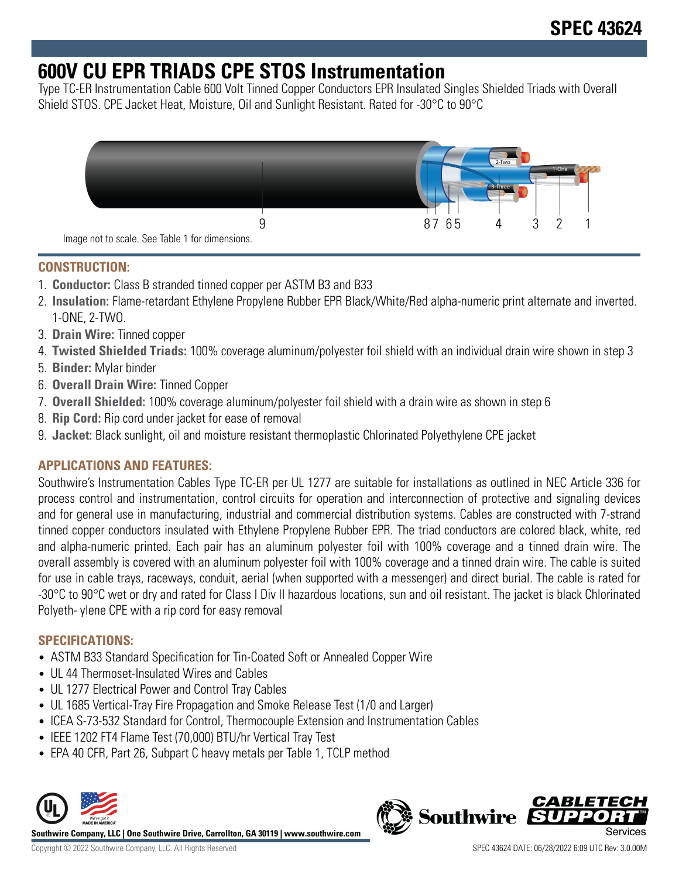# **600V CU EPR TRIADS CPE STOS Instrumentation**

Type TC-ER Instrumentation Cable 600 Volt Tinned Copper Conductors EPR Insulated Singles Shielded Triads with Overall Shield STOS. CPE Jacket Heat, Moisture, Oil and Sunlight Resistant. Rated for -30°C to 90°C



## **CONSTRUCTION:**

- 1. **Conductor:** Class B stranded tinned copper per ASTM B3 and B33
- 2. **Insulation:** Flame-retardant Ethylene Propylene Rubber EPR Black/White/Red alpha-numeric print alternate and inverted. 1-ONE, 2-TWO.
- 3. **Drain Wire:** Tinned copper
- 4. **Twisted Shielded Triads:** 100% coverage aluminum/polyester foil shield with an individual drain wire shown in step 3
- 5. **Binder:** Mylar binder
- 6. **Overall Drain Wire:** Tinned Copper
- 7. **Overall Shielded:** 100% coverage aluminum/polyester foil shield with a drain wire as shown in step 6
- 8. **Rip Cord:** Rip cord under jacket for ease of removal
- 9. **Jacket:** Black sunlight, oil and moisture resistant thermoplastic Chlorinated Polyethylene CPE jacket

# **APPLICATIONS AND FEATURES:**

Southwire's Instrumentation Cables Type TC-ER per UL 1277 are suitable for installations as outlined in NEC Article 336 for process control and instrumentation, control circuits for operation and interconnection of protective and signaling devices and for general use in manufacturing, industrial and commercial distribution systems. Cables are constructed with 7-strand tinned copper conductors insulated with Ethylene Propylene Rubber EPR. The triad conductors are colored black, white, red and alpha-numeric printed. Each pair has an aluminum polyester foil with 100% coverage and a tinned drain wire. The overall assembly is covered with an aluminum polyester foil with 100% coverage and a tinned drain wire. The cable is suited for use in cable trays, raceways, conduit, aerial (when supported with a messenger) and direct burial. The cable is rated for -30°C to 90°C wet or dry and rated for Class I Div II hazardous locations, sun and oil resistant. The jacket is black Chlorinated Polyeth- ylene CPE with a rip cord for easy removal

# **SPECIFICATIONS:**

- ASTM B33 Standard Specification for Tin-Coated Soft or Annealed Copper Wire
- UL 44 Thermoset-Insulated Wires and Cables
- UL 1277 Electrical Power and Control Tray Cables
- UL 1685 Vertical-Tray Fire Propagation and Smoke Release Test (1/0 and Larger)
- ICEA S-73-532 Standard for Control, Thermocouple Extension and Instrumentation Cables
- IEEE 1202 FT4 Flame Test (70,000) BTU/hr Vertical Tray Test
- EPA 40 CFR, Part 26, Subpart C heavy metals per Table 1, TCLP method



**Southwire Company, LLC | One Southwire Drive, Carrollton, GA 30119 | www.southwire.com**